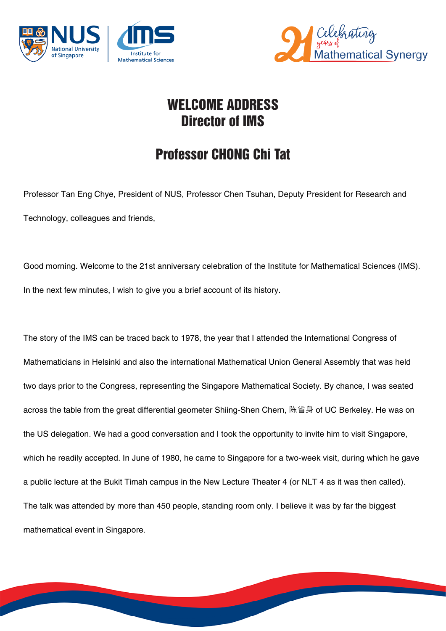



## WELCOME ADDRESS Director of IMS

## Professor CHONG Chi Tat

Professor Tan Eng Chye, President of NUS, Professor Chen Tsuhan, Deputy President for Research and Technology, colleagues and friends,

Good morning. Welcome to the 21st anniversary celebration of the Institute for Mathematical Sciences (IMS). In the next few minutes, I wish to give you a brief account of its history.

The story of the IMS can be traced back to 1978, the year that I attended the International Congress of Mathematicians in Helsinki and also the international Mathematical Union General Assembly that was held two days prior to the Congress, representing the Singapore Mathematical Society. By chance, I was seated across the table from the great differential geometer Shiing-Shen Chern, 陈省身 of UC Berkeley. He was on the US delegation. We had a good conversation and I took the opportunity to invite him to visit Singapore, which he readily accepted. In June of 1980, he came to Singapore for a two-week visit, during which he gave a public lecture at the Bukit Timah campus in the New Lecture Theater 4 (or NLT 4 as it was then called). The talk was attended by more than 450 people, standing room only. I believe it was by far the biggest mathematical event in Singapore.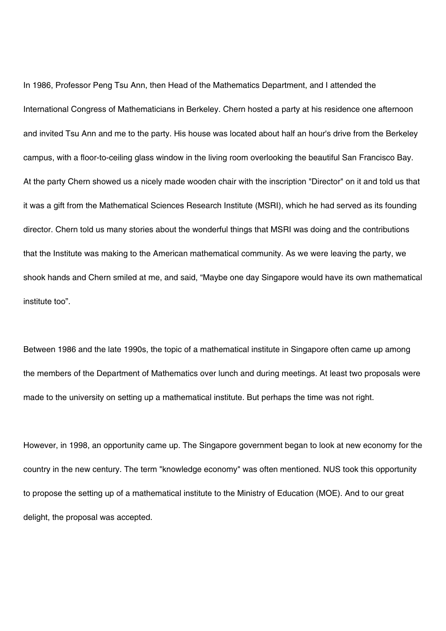In 1986, Professor Peng Tsu Ann, then Head of the Mathematics Department, and I attended the International Congress of Mathematicians in Berkeley. Chern hosted a party at his residence one afternoon and invited Tsu Ann and me to the party. His house was located about half an hour's drive from the Berkeley campus, with a floor-to-ceiling glass window in the living room overlooking the beautiful San Francisco Bay. At the party Chern showed us a nicely made wooden chair with the inscription "Director" on it and told us that it was a gift from the Mathematical Sciences Research Institute (MSRI), which he had served as its founding director. Chern told us many stories about the wonderful things that MSRI was doing and the contributions that the Institute was making to the American mathematical community. As we were leaving the party, we shook hands and Chern smiled at me, and said, "Maybe one day Singapore would have its own mathematical institute too".

Between 1986 and the late 1990s, the topic of a mathematical institute in Singapore often came up among the members of the Department of Mathematics over lunch and during meetings. At least two proposals were made to the university on setting up a mathematical institute. But perhaps the time was not right.

However, in 1998, an opportunity came up. The Singapore government began to look at new economy for the country in the new century. The term "knowledge economy" was often mentioned. NUS took this opportunity to propose the setting up of a mathematical institute to the Ministry of Education (MOE). And to our great delight, the proposal was accepted.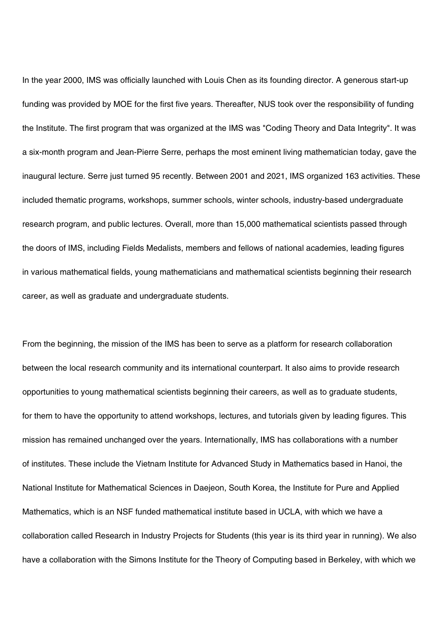In the year 2000, IMS was officially launched with Louis Chen as its founding director. A generous start-up funding was provided by MOE for the first five years. Thereafter, NUS took over the responsibility of funding the Institute. The first program that was organized at the IMS was "Coding Theory and Data Integrity". It was a six-month program and Jean-Pierre Serre, perhaps the most eminent living mathematician today, gave the inaugural lecture. Serre just turned 95 recently. Between 2001 and 2021, IMS organized 163 activities. These included thematic programs, workshops, summer schools, winter schools, industry-based undergraduate research program, and public lectures. Overall, more than 15,000 mathematical scientists passed through the doors of IMS, including Fields Medalists, members and fellows of national academies, leading figures in various mathematical fields, young mathematicians and mathematical scientists beginning their research career, as well as graduate and undergraduate students.

From the beginning, the mission of the IMS has been to serve as a platform for research collaboration between the local research community and its international counterpart. It also aims to provide research opportunities to young mathematical scientists beginning their careers, as well as to graduate students, for them to have the opportunity to attend workshops, lectures, and tutorials given by leading figures. This mission has remained unchanged over the years. Internationally, IMS has collaborations with a number of institutes. These include the Vietnam Institute for Advanced Study in Mathematics based in Hanoi, the National Institute for Mathematical Sciences in Daejeon, South Korea, the Institute for Pure and Applied Mathematics, which is an NSF funded mathematical institute based in UCLA, with which we have a collaboration called Research in Industry Projects for Students (this year is its third year in running). We also have a collaboration with the Simons Institute for the Theory of Computing based in Berkeley, with which we